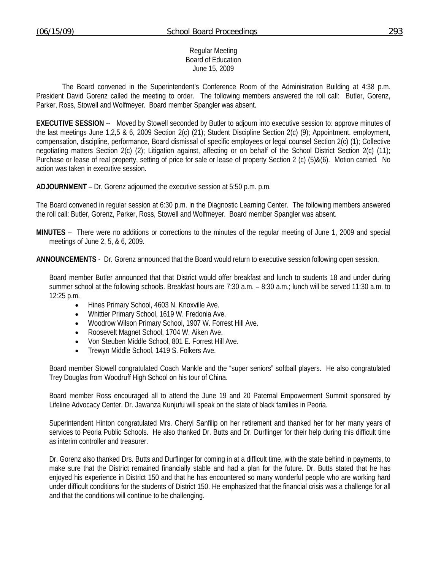#### Regular Meeting Board of Education June 15, 2009

 The Board convened in the Superintendent's Conference Room of the Administration Building at 4:38 p.m. President David Gorenz called the meeting to order. The following members answered the roll call: Butler, Gorenz, Parker, Ross, Stowell and Wolfmeyer. Board member Spangler was absent.

**EXECUTIVE SESSION** -- Moved by Stowell seconded by Butler to adjourn into executive session to: approve minutes of the last meetings June 1,2,5 & 6, 2009 Section 2(c) (21); Student Discipline Section 2(c) (9); Appointment, employment, compensation, discipline, performance, Board dismissal of specific employees or legal counsel Section 2(c) (1); Collective negotiating matters Section 2(c) (2); Litigation against, affecting or on behalf of the School District Section 2(c) (11); Purchase or lease of real property, setting of price for sale or lease of property Section 2 (c) (5)&(6). Motion carried. No action was taken in executive session.

**ADJOURNMENT** – Dr. Gorenz adjourned the executive session at 5:50 p.m. p.m.

The Board convened in regular session at 6:30 p.m. in the Diagnostic Learning Center. The following members answered the roll call: Butler, Gorenz, Parker, Ross, Stowell and Wolfmeyer. Board member Spangler was absent.

**MINUTES** – There were no additions or corrections to the minutes of the regular meeting of June 1, 2009 and special meetings of June 2, 5, & 6, 2009.

**ANNOUNCEMENTS** - Dr. Gorenz announced that the Board would return to executive session following open session.

Board member Butler announced that that District would offer breakfast and lunch to students 18 and under during summer school at the following schools. Breakfast hours are 7:30 a.m. – 8:30 a.m.; lunch will be served 11:30 a.m. to 12:25 p.m.

- Hines Primary School, 4603 N. Knoxville Ave.
- Whittier Primary School, 1619 W. Fredonia Ave.
- Woodrow Wilson Primary School, 1907 W. Forrest Hill Ave.
- Roosevelt Magnet School, 1704 W. Aiken Ave.
- Von Steuben Middle School, 801 E. Forrest Hill Ave.
- Trewyn Middle School, 1419 S. Folkers Ave.

Board member Stowell congratulated Coach Mankle and the "super seniors" softball players. He also congratulated Trey Douglas from Woodruff High School on his tour of China.

Board member Ross encouraged all to attend the June 19 and 20 Paternal Empowerment Summit sponsored by Lifeline Advocacy Center. Dr. Jawanza Kunjufu will speak on the state of black families in Peoria.

Superintendent Hinton congratulated Mrs. Cheryl Sanfilip on her retirement and thanked her for her many years of services to Peoria Public Schools. He also thanked Dr. Butts and Dr. Durflinger for their help during this difficult time as interim controller and treasurer.

Dr. Gorenz also thanked Drs. Butts and Durflinger for coming in at a difficult time, with the state behind in payments, to make sure that the District remained financially stable and had a plan for the future. Dr. Butts stated that he has enjoyed his experience in District 150 and that he has encountered so many wonderful people who are working hard under difficult conditions for the students of District 150. He emphasized that the financial crisis was a challenge for all and that the conditions will continue to be challenging.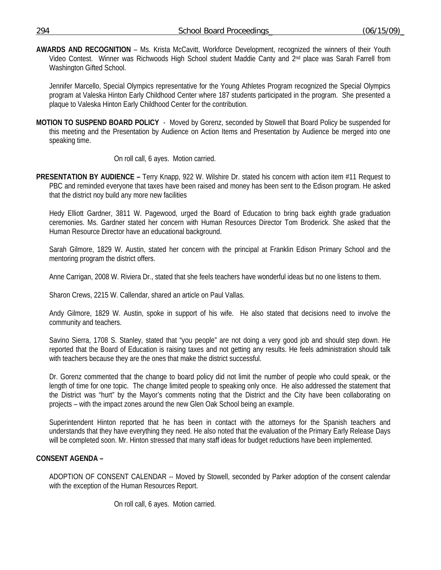**AWARDS AND RECOGNITION** – Ms. Krista McCavitt, Workforce Development, recognized the winners of their Youth Video Contest. Winner was Richwoods High School student Maddie Canty and 2<sup>nd</sup> place was Sarah Farrell from Washington Gifted School.

 Jennifer Marcello, Special Olympics representative for the Young Athletes Program recognized the Special Olympics program at Valeska Hinton Early Childhood Center where 187 students participated in the program. She presented a plaque to Valeska Hinton Early Childhood Center for the contribution.

**MOTION TO SUSPEND BOARD POLICY** - Moved by Gorenz, seconded by Stowell that Board Policy be suspended for this meeting and the Presentation by Audience on Action Items and Presentation by Audience be merged into one speaking time.

On roll call, 6 ayes. Motion carried.

**PRESENTATION BY AUDIENCE –** Terry Knapp, 922 W. Wilshire Dr. stated his concern with action item #11 Request to PBC and reminded everyone that taxes have been raised and money has been sent to the Edison program. He asked that the district noy build any more new facilities

 Hedy Elliott Gardner, 3811 W. Pagewood, urged the Board of Education to bring back eighth grade graduation ceremonies. Ms. Gardner stated her concern with Human Resources Director Tom Broderick. She asked that the Human Resource Director have an educational background.

 Sarah Gilmore, 1829 W. Austin, stated her concern with the principal at Franklin Edison Primary School and the mentoring program the district offers.

Anne Carrigan, 2008 W. Riviera Dr., stated that she feels teachers have wonderful ideas but no one listens to them.

Sharon Crews, 2215 W. Callendar, shared an article on Paul Vallas.

 Andy Gilmore, 1829 W. Austin, spoke in support of his wife. He also stated that decisions need to involve the community and teachers.

 Savino Sierra, 1708 S. Stanley, stated that "you people" are not doing a very good job and should step down. He reported that the Board of Education is raising taxes and not getting any results. He feels administration should talk with teachers because they are the ones that make the district successful.

Dr. Gorenz commented that the change to board policy did not limit the number of people who could speak, or the length of time for one topic. The change limited people to speaking only once. He also addressed the statement that the District was "hurt" by the Mayor's comments noting that the District and the City have been collaborating on projects – with the impact zones around the new Glen Oak School being an example.

Superintendent Hinton reported that he has been in contact with the attorneys for the Spanish teachers and understands that they have everything they need. He also noted that the evaluation of the Primary Early Release Days will be completed soon. Mr. Hinton stressed that many staff ideas for budget reductions have been implemented.

### **CONSENT AGENDA –**

ADOPTION OF CONSENT CALENDAR -- Moved by Stowell, seconded by Parker adoption of the consent calendar with the exception of the Human Resources Report.

On roll call, 6 ayes. Motion carried.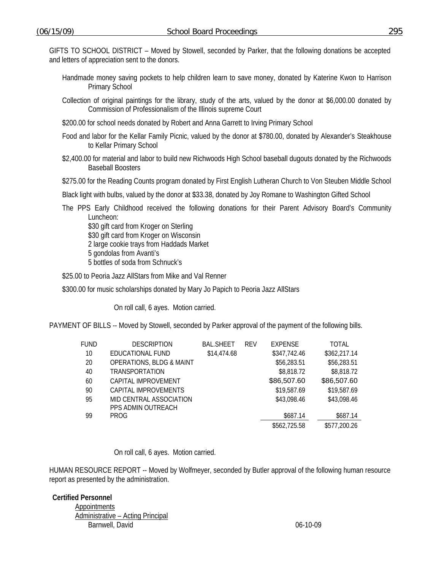GIFTS TO SCHOOL DISTRICT – Moved by Stowell, seconded by Parker, that the following donations be accepted and letters of appreciation sent to the donors.

- Handmade money saving pockets to help children learn to save money, donated by Katerine Kwon to Harrison Primary School
- Collection of original paintings for the library, study of the arts, valued by the donor at \$6,000.00 donated by Commission of Professionalism of the Illinois supreme Court
- \$200.00 for school needs donated by Robert and Anna Garrett to Irving Primary School
- Food and labor for the Kellar Family Picnic, valued by the donor at \$780.00, donated by Alexander's Steakhouse to Kellar Primary School
- \$2,400.00 for material and labor to build new Richwoods High School baseball dugouts donated by the Richwoods Baseball Boosters

\$275.00 for the Reading Counts program donated by First English Lutheran Church to Von Steuben Middle School

Black light with bulbs, valued by the donor at \$33.38, donated by Joy Romane to Washington Gifted School

The PPS Early Childhood received the following donations for their Parent Advisory Board's Community Luncheon:

\$30 gift card from Kroger on Sterling \$30 gift card from Kroger on Wisconsin 2 large cookie trays from Haddads Market 5 gondolas from Avanti's 5 bottles of soda from Schnuck's

\$25.00 to Peoria Jazz AllStars from Mike and Val Renner

\$300.00 for music scholarships donated by Mary Jo Papich to Peoria Jazz AllStars

On roll call, 6 ayes. Motion carried.

PAYMENT OF BILLS -- Moved by Stowell, seconded by Parker approval of the payment of the following bills.

| FUND | <b>DESCRIPTION</b>                  | <b>BAL.SHEET</b> | <b>RFV</b> | <b>EXPENSE</b> | TOTAL        |
|------|-------------------------------------|------------------|------------|----------------|--------------|
| 10   | EDUCATIONAL FUND                    | \$14,474.68      |            | \$347,742.46   | \$362,217.14 |
| 20   | <b>OPERATIONS, BLDG &amp; MAINT</b> |                  |            | \$56,283.51    | \$56,283.51  |
| 40   | TRANSPORTATION                      |                  |            | \$8,818.72     | \$8,818.72   |
| 60   | CAPITAL IMPROVEMENT                 |                  |            | \$86,507.60    | \$86,507.60  |
| 90   | CAPITAL IMPROVEMENTS                |                  |            | \$19,587.69    | \$19,587.69  |
| 95   | MID CENTRAL ASSOCIATION             |                  |            | \$43,098.46    | \$43,098.46  |
|      | PPS ADMIN OUTREACH                  |                  |            |                |              |
| 99   | <b>PROG</b>                         |                  |            | \$687.14       | \$687.14     |
|      |                                     |                  |            | \$562,725.58   | \$577,200.26 |

On roll call, 6 ayes. Motion carried.

HUMAN RESOURCE REPORT -- Moved by Wolfmeyer, seconded by Butler approval of the following human resource report as presented by the administration.

**Certified Personnel**  Appointments Administrative – Acting Principal Barnwell, David **David** 2008 **Contract Contract 2008 Contract 2006 Contract 2006 Contract 2006 Contract 2006 Contract 2006 Contract 2006 Contract 2006 Contract 2006 Contract 2006 Contract 2006 Contrac**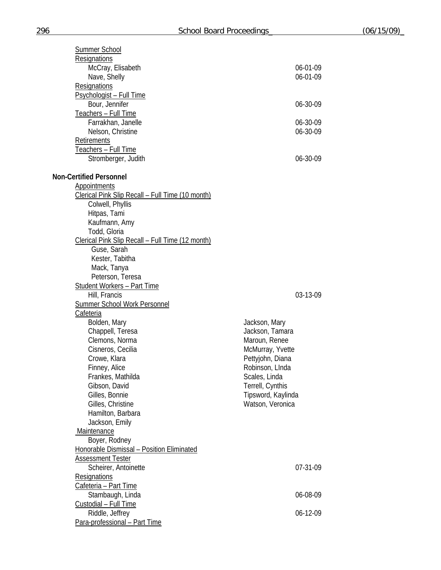| Summer School                                       |                    |
|-----------------------------------------------------|--------------------|
| Resignations                                        |                    |
| McCray, Elisabeth                                   | 06-01-09           |
| Nave, Shelly                                        | 06-01-09           |
| Resignations                                        |                    |
| Psychologist - Full Time                            |                    |
| Bour, Jennifer                                      | 06-30-09           |
| Teachers - Full Time                                |                    |
| Farrakhan, Janelle                                  | 06-30-09           |
| Nelson, Christine                                   | 06-30-09           |
| Retirements                                         |                    |
| Teachers - Full Time                                |                    |
| Stromberger, Judith                                 | 06-30-09           |
| <b>Non-Certified Personnel</b>                      |                    |
| Appointments                                        |                    |
| Clerical Pink Slip Recall - Full Time (10 month)    |                    |
| Colwell, Phyllis                                    |                    |
| Hitpas, Tami                                        |                    |
| Kaufmann, Amy                                       |                    |
| Todd, Gloria                                        |                    |
| Clerical Pink Slip Recall - Full Time (12 month)    |                    |
| Guse, Sarah                                         |                    |
| Kester, Tabitha                                     |                    |
| Mack, Tanya                                         |                    |
| Peterson, Teresa                                    |                    |
| <b>Student Workers - Part Time</b><br>Hill, Francis | 03-13-09           |
| <b>Summer School Work Personnel</b>                 |                    |
| Cafeteria                                           |                    |
| Bolden, Mary                                        | Jackson, Mary      |
| Chappell, Teresa                                    | Jackson, Tamara    |
| Clemons, Norma                                      | Maroun, Renee      |
| Cisneros, Cecilia                                   | McMurray, Yvette   |
| Crowe, Klara                                        | Pettyjohn, Diana   |
| Finney, Alice                                       | Robinson, LInda    |
| Frankes, Mathilda                                   | Scales, Linda      |
| Gibson, David                                       | Terrell, Cynthis   |
| Gilles, Bonnie                                      | Tipsword, Kaylinda |
| Gilles, Christine                                   | Watson, Veronica   |
| Hamilton, Barbara                                   |                    |
| Jackson, Emily                                      |                    |
| Maintenance                                         |                    |
| Boyer, Rodney                                       |                    |
| Honorable Dismissal - Position Eliminated           |                    |
| <b>Assessment Tester</b>                            |                    |
| Scheirer, Antoinette                                | 07-31-09           |
| Resignations                                        |                    |
| Cafeteria - Part Time                               |                    |
| Stambaugh, Linda                                    | 06-08-09           |
| Custodial - Full Time                               |                    |
| Riddle, Jeffrey                                     | 06-12-09           |
| Para-professional - Part Time                       |                    |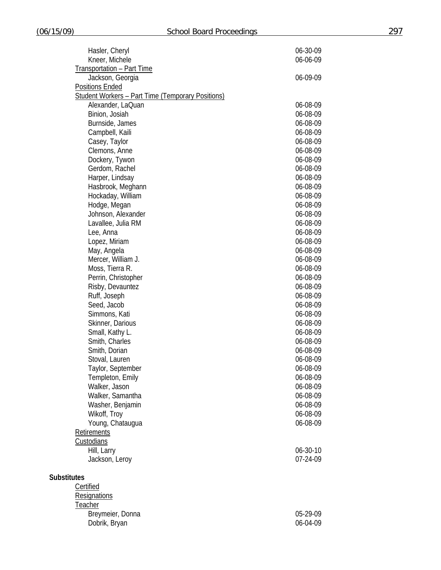| Hasler, Cheryl                                           | 06-30-09 |
|----------------------------------------------------------|----------|
| Kneer, Michele                                           | 06-06-09 |
| <b>Transportation - Part Time</b>                        |          |
| Jackson, Georgia                                         | 06-09-09 |
| <b>Positions Ended</b>                                   |          |
| <b>Student Workers - Part Time (Temporary Positions)</b> |          |
| Alexander, LaQuan                                        | 06-08-09 |
| Binion, Josiah                                           | 06-08-09 |
| Burnside, James                                          | 06-08-09 |
| Campbell, Kaili                                          | 06-08-09 |
| Casey, Taylor                                            | 06-08-09 |
| Clemons, Anne                                            | 06-08-09 |
| Dockery, Tywon                                           | 06-08-09 |
|                                                          |          |
| Gerdom, Rachel                                           | 06-08-09 |
| Harper, Lindsay                                          | 06-08-09 |
| Hasbrook, Meghann                                        | 06-08-09 |
| Hockaday, William                                        | 06-08-09 |
| Hodge, Megan                                             | 06-08-09 |
| Johnson, Alexander                                       | 06-08-09 |
| Lavallee, Julia RM                                       | 06-08-09 |
| Lee, Anna                                                | 06-08-09 |
| Lopez, Miriam                                            | 06-08-09 |
| May, Angela                                              | 06-08-09 |
| Mercer, William J.                                       | 06-08-09 |
| Moss, Tierra R.                                          | 06-08-09 |
| Perrin, Christopher                                      | 06-08-09 |
| Risby, Devauntez                                         | 06-08-09 |
| Ruff, Joseph                                             | 06-08-09 |
| Seed, Jacob                                              | 06-08-09 |
| Simmons, Kati                                            | 06-08-09 |
| Skinner, Darious                                         | 06-08-09 |
| Small, Kathy L.                                          | 06-08-09 |
| Smith, Charles                                           | 06-08-09 |
| Smith, Dorian                                            | 06-08-09 |
| Stoval, Lauren                                           | 06-08-09 |
| Taylor, September                                        | 06-08-09 |
| Templeton, Emily                                         | 06-08-09 |
| Walker, Jason                                            | 06-08-09 |
| Walker, Samantha                                         | 06-08-09 |
| Washer, Benjamin                                         | 06-08-09 |
| Wikoff, Troy                                             | 06-08-09 |
| Young, Chataugua                                         | 06-08-09 |
| Retirements                                              |          |
| Custodians                                               |          |
| Hill, Larry                                              | 06-30-10 |
| Jackson, Leroy                                           | 07-24-09 |
|                                                          |          |
| <b>Substitutes</b>                                       |          |
| Certified                                                |          |
| Resignations                                             |          |
| Teacher                                                  |          |
| Breymeier, Donna                                         | 05-29-09 |
|                                                          |          |
| Dobrik, Bryan                                            | 06-04-09 |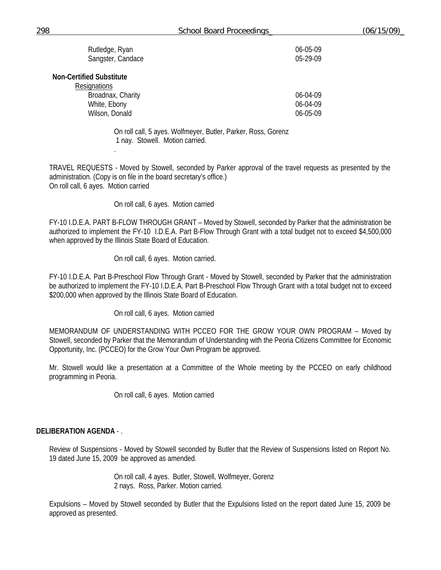| Rutledge, Ryan    | 06-05-09 |
|-------------------|----------|
| Sangster, Candace | 05-29-09 |

**Non-Certified Substitute** 

.

| 06-04-09       |
|----------------|
| 06-04-09       |
| $06 - 05 - 09$ |
|                |

On roll call, 5 ayes. Wolfmeyer, Butler, Parker, Ross, Gorenz 1 nay. Stowell. Motion carried.

TRAVEL REQUESTS - Moved by Stowell, seconded by Parker approval of the travel requests as presented by the administration. (Copy is on file in the board secretary's office.) On roll call, 6 ayes. Motion carried

On roll call, 6 ayes. Motion carried

FY-10 I.D.E.A. PART B-FLOW THROUGH GRANT – Moved by Stowell, seconded by Parker that the administration be authorized to implement the FY-10 I.D.E.A. Part B-Flow Through Grant with a total budget not to exceed \$4,500,000 when approved by the Illinois State Board of Education.

On roll call, 6 ayes. Motion carried.

FY-10 I.D.E.A. Part B-Preschool Flow Through Grant - Moved by Stowell, seconded by Parker that the administration be authorized to implement the FY-10 I.D.E.A. Part B-Preschool Flow Through Grant with a total budget not to exceed \$200,000 when approved by the Illinois State Board of Education.

On roll call, 6 ayes. Motion carried

MEMORANDUM OF UNDERSTANDING WITH PCCEO FOR THE GROW YOUR OWN PROGRAM – Moved by Stowell, seconded by Parker that the Memorandum of Understanding with the Peoria Citizens Committee for Economic Opportunity, Inc. (PCCEO) for the Grow Your Own Program be approved.

Mr. Stowell would like a presentation at a Committee of the Whole meeting by the PCCEO on early childhood programming in Peoria.

On roll call, 6 ayes. Motion carried

#### **DELIBERATION AGENDA** - .

Review of Suspensions - Moved by Stowell seconded by Butler that the Review of Suspensions listed on Report No. 19 dated June 15, 2009 be approved as amended.

> On roll call, 4 ayes. Butler, Stowell, Wolfmeyer, Gorenz 2 nays. Ross, Parker. Motion carried.

Expulsions – Moved by Stowell seconded by Butler that the Expulsions listed on the report dated June 15, 2009 be approved as presented.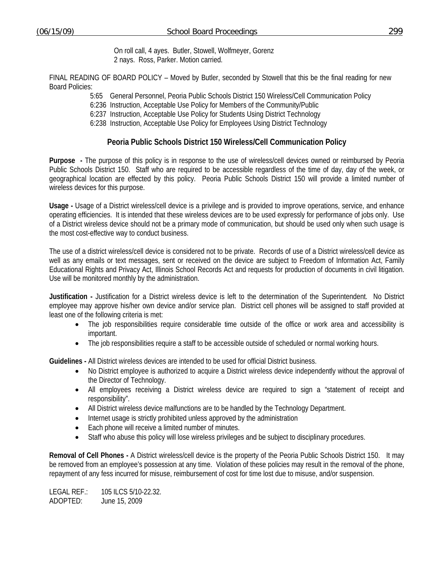On roll call, 4 ayes. Butler, Stowell, Wolfmeyer, Gorenz 2 nays. Ross, Parker. Motion carried.

FINAL READING OF BOARD POLICY – Moved by Butler, seconded by Stowell that this be the final reading for new Board Policies:

5:65 General Personnel, Peoria Public Schools District 150 Wireless/Cell Communication Policy

6:236 Instruction, Acceptable Use Policy for Members of the Community/Public

6:237 Instruction, Acceptable Use Policy for Students Using District Technology

6:238 Instruction, Acceptable Use Policy for Employees Using District Technology

## **Peoria Public Schools District 150 Wireless/Cell Communication Policy**

**Purpose -** The purpose of this policy is in response to the use of wireless/cell devices owned or reimbursed by Peoria Public Schools District 150. Staff who are required to be accessible regardless of the time of day, day of the week, or geographical location are effected by this policy. Peoria Public Schools District 150 will provide a limited number of wireless devices for this purpose.

**Usage -** Usage of a District wireless/cell device is a privilege and is provided to improve operations, service, and enhance operating efficiencies. It is intended that these wireless devices are to be used expressly for performance of jobs only. Use of a District wireless device should not be a primary mode of communication, but should be used only when such usage is the most cost-effective way to conduct business.

The use of a district wireless/cell device is considered not to be private. Records of use of a District wireless/cell device as well as any emails or text messages, sent or received on the device are subject to Freedom of Information Act, Family Educational Rights and Privacy Act, Illinois School Records Act and requests for production of documents in civil litigation. Use will be monitored monthly by the administration.

**Justification -** Justification for a District wireless device is left to the determination of the Superintendent. No District employee may approve his/her own device and/or service plan. District cell phones will be assigned to staff provided at least one of the following criteria is met:

- The job responsibilities require considerable time outside of the office or work area and accessibility is important.
- The job responsibilities require a staff to be accessible outside of scheduled or normal working hours.

**Guidelines -** All District wireless devices are intended to be used for official District business.

- No District employee is authorized to acquire a District wireless device independently without the approval of the Director of Technology.
- All employees receiving a District wireless device are required to sign a "statement of receipt and responsibility".
- All District wireless device malfunctions are to be handled by the Technology Department.
- Internet usage is strictly prohibited unless approved by the administration
- Each phone will receive a limited number of minutes.
- Staff who abuse this policy will lose wireless privileges and be subject to disciplinary procedures.

**Removal of Cell Phones -** A District wireless/cell device is the property of the Peoria Public Schools District 150. It may be removed from an employee's possession at any time. Violation of these policies may result in the removal of the phone, repayment of any fess incurred for misuse, reimbursement of cost for time lost due to misuse, and/or suspension.

LEGAL REF.: 105 ILCS 5/10-22.32. ADOPTED: June 15, 2009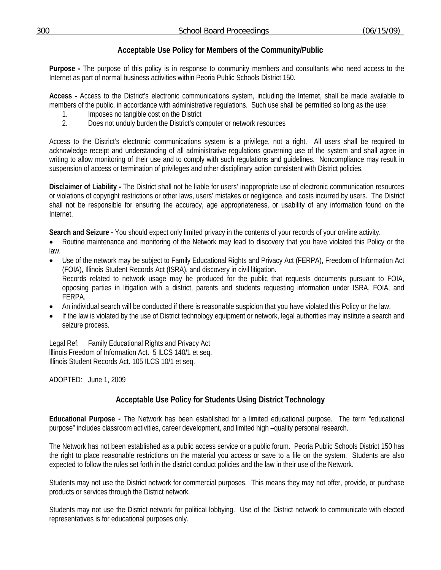# **Acceptable Use Policy for Members of the Community/Public**

**Purpose -** The purpose of this policy is in response to community members and consultants who need access to the Internet as part of normal business activities within Peoria Public Schools District 150.

**Access -** Access to the District's electronic communications system, including the Internet, shall be made available to members of the public, in accordance with administrative regulations. Such use shall be permitted so long as the use:

- 1. Imposes no tangible cost on the District<br>2. Does not unduly burden the District's co
- 2. Does not unduly burden the District's computer or network resources

Access to the District's electronic communications system is a privilege, not a right. All users shall be required to acknowledge receipt and understanding of all administrative regulations governing use of the system and shall agree in writing to allow monitoring of their use and to comply with such regulations and guidelines. Noncompliance may result in suspension of access or termination of privileges and other disciplinary action consistent with District policies.

**Disclaimer of Liability -** The District shall not be liable for users' inappropriate use of electronic communication resources or violations of copyright restrictions or other laws, users' mistakes or negligence, and costs incurred by users. The District shall not be responsible for ensuring the accuracy, age appropriateness, or usability of any information found on the Internet.

**Search and Seizure -** You should expect only limited privacy in the contents of your records of your on-line activity.

• Routine maintenance and monitoring of the Network may lead to discovery that you have violated this Policy or the law.

- Use of the network may be subject to Family Educational Rights and Privacy Act (FERPA), Freedom of Information Act (FOIA), Illinois Student Records Act (ISRA), and discovery in civil litigation. Records related to network usage may be produced for the public that requests documents pursuant to FOIA, opposing parties in litigation with a district, parents and students requesting information under ISRA, FOIA, and FERPA.
- An individual search will be conducted if there is reasonable suspicion that you have violated this Policy or the law.
- If the law is violated by the use of District technology equipment or network, legal authorities may institute a search and seizure process.

Legal Ref: Family Educational Rights and Privacy Act lllinois Freedom of Information Act. 5 ILCS 140/1 et seq. Illinois Student Records Act. 105 ILCS 10/1 et seq.

ADOPTED: June 1, 2009

# **Acceptable Use Policy for Students Using District Technology**

**Educational Purpose -** The Network has been established for a limited educational purpose. The term "educational purpose" includes classroom activities, career development, and limited high –quality personal research.

The Network has not been established as a public access service or a public forum. Peoria Public Schools District 150 has the right to place reasonable restrictions on the material you access or save to a file on the system. Students are also expected to follow the rules set forth in the district conduct policies and the law in their use of the Network.

Students may not use the District network for commercial purposes. This means they may not offer, provide, or purchase products or services through the District network.

Students may not use the District network for political lobbying. Use of the District network to communicate with elected representatives is for educational purposes only.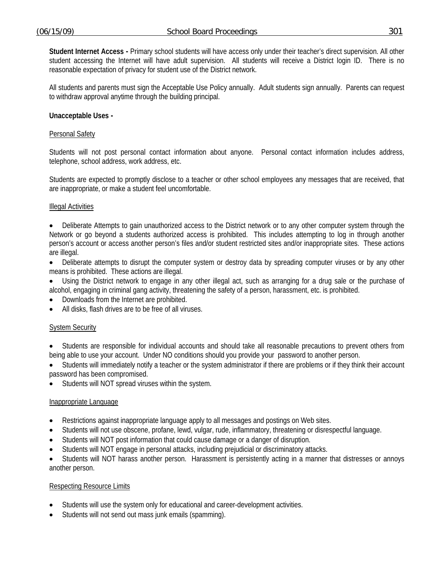**Student Internet Access -** Primary school students will have access only under their teacher's direct supervision. All other student accessing the Internet will have adult supervision. All students will receive a District login ID. There is no reasonable expectation of privacy for student use of the District network.

All students and parents must sign the Acceptable Use Policy annually. Adult students sign annually. Parents can request to withdraw approval anytime through the building principal.

#### **Unacceptable Uses -**

#### Personal Safety

Students will not post personal contact information about anyone. Personal contact information includes address, telephone, school address, work address, etc.

Students are expected to promptly disclose to a teacher or other school employees any messages that are received, that are inappropriate, or make a student feel uncomfortable.

#### Illegal Activities

• Deliberate Attempts to gain unauthorized access to the District network or to any other computer system through the Network or go beyond a students authorized access is prohibited. This includes attempting to log in through another person's account or access another person's files and/or student restricted sites and/or inappropriate sites. These actions are illegal.

- Deliberate attempts to disrupt the computer system or destroy data by spreading computer viruses or by any other means is prohibited. These actions are illegal.
- Using the District network to engage in any other illegal act, such as arranging for a drug sale or the purchase of alcohol, engaging in criminal gang activity, threatening the safety of a person, harassment, etc. is prohibited.
- Downloads from the Internet are prohibited.
- All disks, flash drives are to be free of all viruses.

#### System Security

- Students are responsible for individual accounts and should take all reasonable precautions to prevent others from being able to use your account. Under NO conditions should you provide your password to another person.
- Students will immediately notify a teacher or the system administrator if there are problems or if they think their account password has been compromised.
- Students will NOT spread viruses within the system.

#### Inappropriate Language

- Restrictions against inappropriate language apply to all messages and postings on Web sites.
- Students will not use obscene, profane, lewd, vulgar, rude, inflammatory, threatening or disrespectful language.
- Students will NOT post information that could cause damage or a danger of disruption.
- Students will NOT engage in personal attacks, including prejudicial or discriminatory attacks.
- Students will NOT harass another person. Harassment is persistently acting in a manner that distresses or annoys another person.

#### Respecting Resource Limits

- Students will use the system only for educational and career-development activities.
- Students will not send out mass junk emails (spamming).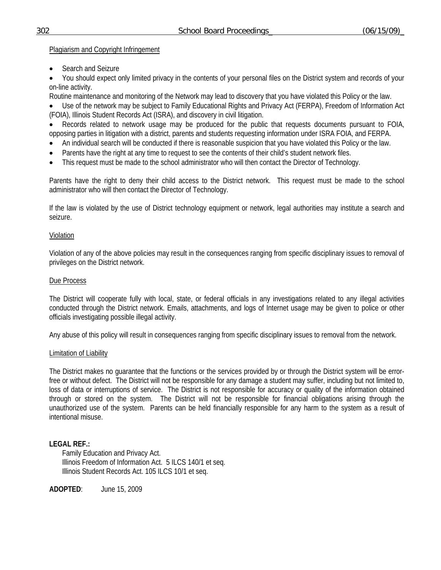### Plagiarism and Copyright Infringement

• Search and Seizure

• You should expect only limited privacy in the contents of your personal files on the District system and records of your on-line activity.

Routine maintenance and monitoring of the Network may lead to discovery that you have violated this Policy or the law.

• Use of the network may be subject to Family Educational Rights and Privacy Act (FERPA), Freedom of Information Act (FOIA), Illinois Student Records Act (ISRA), and discovery in civil litigation.

• Records related to network usage may be produced for the public that requests documents pursuant to FOIA, opposing parties in litigation with a district, parents and students requesting information under ISRA FOIA, and FERPA.

- An individual search will be conducted if there is reasonable suspicion that you have violated this Policy or the law.
- Parents have the right at any time to request to see the contents of their child's student network files.
- This request must be made to the school administrator who will then contact the Director of Technology.

Parents have the right to deny their child access to the District network. This request must be made to the school administrator who will then contact the Director of Technology.

If the law is violated by the use of District technology equipment or network, legal authorities may institute a search and seizure.

## Violation

Violation of any of the above policies may result in the consequences ranging from specific disciplinary issues to removal of privileges on the District network.

## Due Process

The District will cooperate fully with local, state, or federal officials in any investigations related to any illegal activities conducted through the District network. Emails, attachments, and logs of Internet usage may be given to police or other officials investigating possible illegal activity.

Any abuse of this policy will result in consequences ranging from specific disciplinary issues to removal from the network.

### Limitation of Liability

The District makes no guarantee that the functions or the services provided by or through the District system will be errorfree or without defect. The District will not be responsible for any damage a student may suffer, including but not limited to, loss of data or interruptions of service. The District is not responsible for accuracy or quality of the information obtained through or stored on the system. The District will not be responsible for financial obligations arising through the unauthorized use of the system. Parents can be held financially responsible for any harm to the system as a result of intentional misuse.

## **LEGAL REF.:**

Family Education and Privacy Act. Illinois Freedom of Information Act. 5 ILCS 140/1 et seq. Illinois Student Records Act. 105 ILCS 10/1 et seq.

**ADOPTED**: June 15, 2009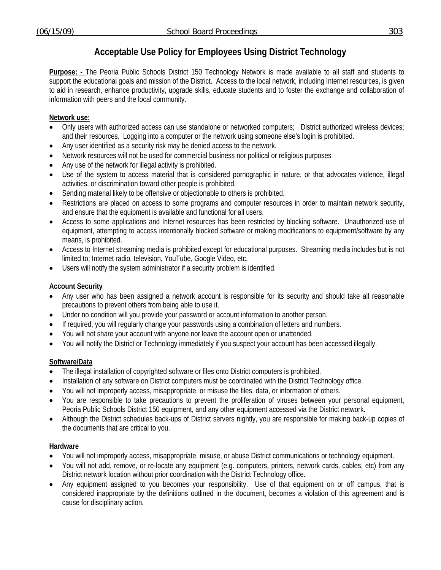# **Acceptable Use Policy for Employees Using District Technology**

**Purpose: -** The Peoria Public Schools District 150 Technology Network is made available to all staff and students to support the educational goals and mission of the District. Access to the local network, including Internet resources, is given to aid in research, enhance productivity, upgrade skills, educate students and to foster the exchange and collaboration of information with peers and the local community.

## **Network use:**

- Only users with authorized access can use standalone or networked computers; District authorized wireless devices; and their resources. Logging into a computer or the network using someone else's login is prohibited.
- Any user identified as a security risk may be denied access to the network.
- Network resources will not be used for commercial business nor political or religious purposes
- Any use of the network for illegal activity is prohibited.
- Use of the system to access material that is considered pornographic in nature, or that advocates violence, illegal activities, or discrimination toward other people is prohibited.
- Sending material likely to be offensive or objectionable to others is prohibited.
- Restrictions are placed on access to some programs and computer resources in order to maintain network security, and ensure that the equipment is available and functional for all users.
- Access to some applications and Internet resources has been restricted by blocking software. Unauthorized use of equipment, attempting to access intentionally blocked software or making modifications to equipment/software by any means, is prohibited.
- Access to Internet streaming media is prohibited except for educational purposes. Streaming media includes but is not limited to; Internet radio, television, YouTube, Google Video, etc.
- Users will notify the system administrator if a security problem is identified.

### **Account Security**

- Any user who has been assigned a network account is responsible for its security and should take all reasonable precautions to prevent others from being able to use it.
- Under no condition will you provide your password or account information to another person.
- If required, you will regularly change your passwords using a combination of letters and numbers.
- You will not share your account with anyone nor leave the account open or unattended.
- You will notify the District or Technology immediately if you suspect your account has been accessed illegally.

### **Software/Data**

- The illegal installation of copyrighted software or files onto District computers is prohibited.
- Installation of any software on District computers must be coordinated with the District Technology office.
- You will not improperly access, misappropriate, or misuse the files, data, or information of others.
- You are responsible to take precautions to prevent the proliferation of viruses between your personal equipment, Peoria Public Schools District 150 equipment, and any other equipment accessed via the District network.
- Although the District schedules back-ups of District servers nightly, you are responsible for making back-up copies of the documents that are critical to you.

### **Hardware**

- You will not improperly access, misappropriate, misuse, or abuse District communications or technology equipment.
- You will not add, remove, or re-locate any equipment (e.g. computers, printers, network cards, cables, etc) from any District network location without prior coordination with the District Technology office.
- Any equipment assigned to you becomes your responsibility. Use of that equipment on or off campus, that is considered inappropriate by the definitions outlined in the document, becomes a violation of this agreement and is cause for disciplinary action.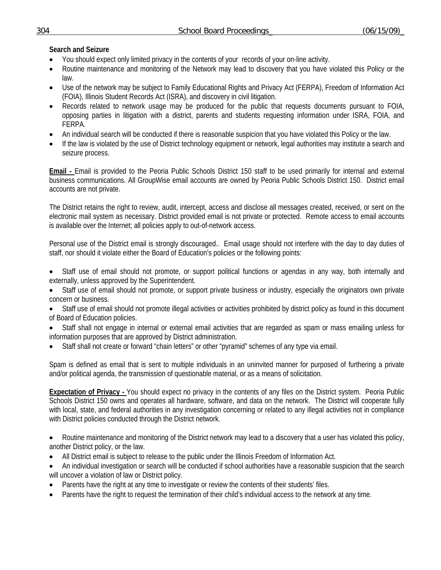## **Search and Seizure**

- You should expect only limited privacy in the contents of your records of your on-line activity.
- Routine maintenance and monitoring of the Network may lead to discovery that you have violated this Policy or the law.
- Use of the network may be subject to Family Educational Rights and Privacy Act (FERPA), Freedom of Information Act (FOIA), Illinois Student Records Act (ISRA), and discovery in civil litigation.
- Records related to network usage may be produced for the public that requests documents pursuant to FOIA, opposing parties in litigation with a district, parents and students requesting information under ISRA, FOIA, and FERPA.
- An individual search will be conducted if there is reasonable suspicion that you have violated this Policy or the law.
- If the law is violated by the use of District technology equipment or network, legal authorities may institute a search and seizure process.

**Email -** Email is provided to the Peoria Public Schools District 150 staff to be used primarily for internal and external business communications. All GroupWise email accounts are owned by Peoria Public Schools District 150. District email accounts are not private.

The District retains the right to review, audit, intercept, access and disclose all messages created, received, or sent on the electronic mail system as necessary. District provided email is not private or protected. Remote access to email accounts is available over the Internet; all policies apply to out-of-network access.

Personal use of the District email is strongly discouraged.. Email usage should not interfere with the day to day duties of staff, nor should it violate either the Board of Education's policies or the following points:

- Staff use of email should not promote, or support political functions or agendas in any way, both internally and externally, unless approved by the Superintendent.
- Staff use of email should not promote, or support private business or industry, especially the originators own private concern or business.
- Staff use of email should not promote illegal activities or activities prohibited by district policy as found in this document of Board of Education policies.
- Staff shall not engage in internal or external email activities that are regarded as spam or mass emailing unless for information purposes that are approved by District administration.
- Staff shall not create or forward "chain letters" or other "pyramid" schemes of any type via email.

Spam is defined as email that is sent to multiple individuals in an uninvited manner for purposed of furthering a private and/or political agenda, the transmission of questionable material, or as a means of solicitation.

**Expectation of Privacy -** You should expect no privacy in the contents of any files on the District system. Peoria Public Schools District 150 owns and operates all hardware, software, and data on the network. The District will cooperate fully with local, state, and federal authorities in any investigation concerning or related to any illegal activities not in compliance with District policies conducted through the District network.

• Routine maintenance and monitoring of the District network may lead to a discovery that a user has violated this policy, another District policy, or the law.

- All District email is subject to release to the public under the Illinois Freedom of Information Act.
- An individual investigation or search will be conducted if school authorities have a reasonable suspicion that the search will uncover a violation of law or District policy.
- Parents have the right at any time to investigate or review the contents of their students' files.
- Parents have the right to request the termination of their child's individual access to the network at any time.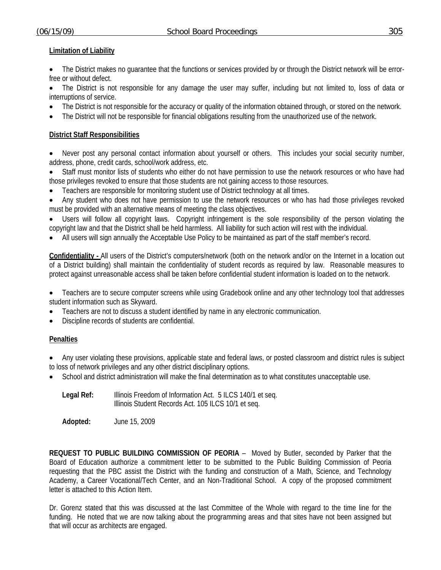# **Limitation of Liability**

• The District makes no guarantee that the functions or services provided by or through the District network will be errorfree or without defect.

The District is not responsible for any damage the user may suffer, including but not limited to, loss of data or interruptions of service.

- The District is not responsible for the accuracy or quality of the information obtained through, or stored on the network.
- The District will not be responsible for financial obligations resulting from the unauthorized use of the network.

# **District Staff Responsibilities**

- Never post any personal contact information about yourself or others. This includes your social security number, address, phone, credit cards, school/work address, etc.
- Staff must monitor lists of students who either do not have permission to use the network resources or who have had those privileges revoked to ensure that those students are not gaining access to those resources.
- Teachers are responsible for monitoring student use of District technology at all times.
- Any student who does not have permission to use the network resources or who has had those privileges revoked must be provided with an alternative means of meeting the class objectives.

Users will follow all copyright laws. Copyright infringement is the sole responsibility of the person violating the copyright law and that the District shall be held harmless. All liability for such action will rest with the individual.

• All users will sign annually the Acceptable Use Policy to be maintained as part of the staff member's record.

**Confidentiality -** All users of the District's computers/network (both on the network and/or on the Internet in a location out of a District building) shall maintain the confidentiality of student records as required by law. Reasonable measures to protect against unreasonable access shall be taken before confidential student information is loaded on to the network.

- Teachers are to secure computer screens while using Gradebook online and any other technology tool that addresses student information such as Skyward.
- Teachers are not to discuss a student identified by name in any electronic communication.
- Discipline records of students are confidential.

## **Penalties**

- Any user violating these provisions, applicable state and federal laws, or posted classroom and district rules is subject to loss of network privileges and any other district disciplinary options.
- School and district administration will make the final determination as to what constitutes unacceptable use.

| Legal Ref: | Illinois Freedom of Information Act. 5 ILCS 140/1 et seq. |
|------------|-----------------------------------------------------------|
|            | Illinois Student Records Act. 105 ILCS 10/1 et seq.       |

**Adopted:** June 15, 2009

**REQUEST TO PUBLIC BUILDING COMMISSION OF PEORIA** – Moved by Butler, seconded by Parker that the Board of Education authorize a commitment letter to be submitted to the Public Building Commission of Peoria requesting that the PBC assist the District with the funding and construction of a Math, Science, and Technology Academy, a Career Vocational/Tech Center, and an Non-Traditional School. A copy of the proposed commitment letter is attached to this Action Item.

Dr. Gorenz stated that this was discussed at the last Committee of the Whole with regard to the time line for the funding. He noted that we are now talking about the programming areas and that sites have not been assigned but that will occur as architects are engaged.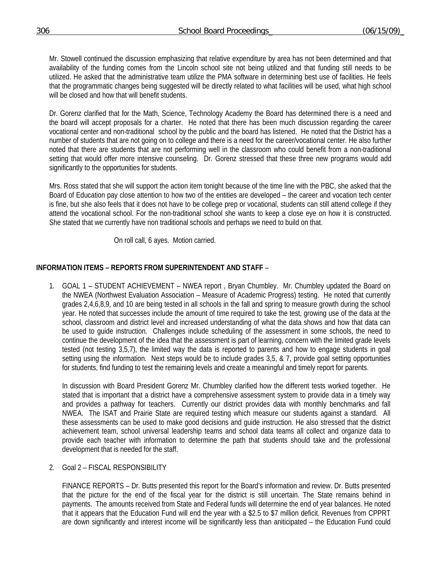Mr. Stowell continued the discussion emphasizing that relative expenditure by area has not been determined and that availability of the funding comes from the Lincoln school site not being utilized and that funding still needs to be utilized. He asked that the administrative team utilize the PMA software in determining best use of facilities. He feels that the programmatic changes being suggested will be directly related to what facilities will be used, what high school will be closed and how that will benefit students.

Dr. Gorenz clarified that for the Math, Science, Technology Academy the Board has determined there is a need and the board will accept proposals for a charter. He noted that there has been much discussion regarding the career vocational center and non-traditional school by the public and the board has listened. He noted that the District has a number of students that are not going on to college and there is a need for the career/vocational center. He also further noted that there are students that are not performing well in the classroom who could benefit from a non-traditional setting that would offer more intensive counseling. Dr. Gorenz stressed that these three new programs would add significantly to the opportunities for students.

Mrs. Ross stated that she will support the action item tonight because of the time line with the PBC, she asked that the Board of Education pay close attention to how two of the entities are developed – the career and vocation tech center is fine, but she also feels that it does not have to be college prep or vocational, students can still attend college if they attend the vocational school. For the non-traditional school she wants to keep a close eye on how it is constructed. She stated that we currently have non traditional schools and perhaps we need to build on that.

On roll call, 6 ayes. Motion carried.

### **INFORMATION ITEMS – REPORTS FROM SUPERINTENDENT AND STAFF** –

1. GOAL 1 – STUDENT ACHIEVEMENT – NWEA report , Bryan Chumbley. Mr. Chumbley updated the Board on the NWEA (Northwest Evaluation Association – Measure of Academic Progress) testing. He noted that currently grades 2,4,6,8,9, and 10 are being tested in all schools in the fall and spring to measure growth during the school year. He noted that successes include the amount of time required to take the test, growing use of the data at the school, classroom and district level and increased understanding of what the data shows and how that data can be used to guide instruction. Challenges include scheduling of the assessment in some schools, the need to continue the development of the idea that the assessment is part of learning, concern with the limited grade levels tested (not testing 3,5,7), the limited way the data is reported to parents and how to engage students in goal setting using the information. Next steps would be to include grades 3,5, & 7, provide goal setting opportunities for students, find funding to test the remaining levels and create a meaningful and timely report for parents.

In discussion with Board President Gorenz Mr. Chumbley clarified how the different tests worked together. He stated that is important that a district have a comprehensive assessment system to provide data in a timely way and provides a pathway for teachers. Currently our district provides data with monthly benchmarks and fall NWEA. The ISAT and Prairie State are required testing which measure our students against a standard. All these assessments can be used to make good decisions and guide instruction. He also stressed that the district achievement team, school universal leadership teams and school data teams all collect and organize data to provide each teacher with information to determine the path that students should take and the professional development that is needed for the staff.

2. Goal 2 – FISCAL RESPONSIBILITY

 FINANCE REPORTS – Dr. Butts presented this report for the Board's information and review. Dr. Butts presented that the picture for the end of the fiscal year for the district is still uncertain. The State remains behind in payments. The amounts received from State and Federal funds will determine the end of year balances. He noted that it appears that the Education Fund will end the year with a \$2.5 to \$7 million deficit. Revenues from CPPRT are down significantly and interest income will be significantly less than aniticipated – the Education Fund could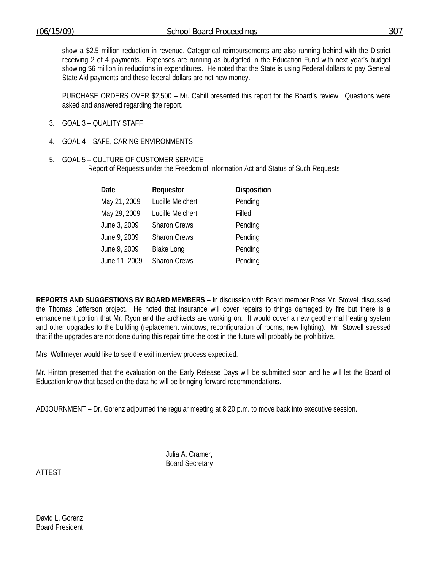show a \$2.5 million reduction in revenue. Categorical reimbursements are also running behind with the District receiving 2 of 4 payments. Expenses are running as budgeted in the Education Fund with next year's budget showing \$6 million in reductions in expenditures. He noted that the State is using Federal dollars to pay General State Aid payments and these federal dollars are not new money.

 PURCHASE ORDERS OVER \$2,500 – Mr. Cahill presented this report for the Board's review. Questions were asked and answered regarding the report.

- 3. GOAL 3 QUALITY STAFF
- 4. GOAL 4 SAFE, CARING ENVIRONMENTS
- 5. GOAL 5 CULTURE OF CUSTOMER SERVICE Report of Requests under the Freedom of Information Act and Status of Such Requests

| Date          | Requestor           | <b>Disposition</b> |
|---------------|---------------------|--------------------|
| May 21, 2009  | Lucille Melchert    | Pending            |
| May 29, 2009  | Lucille Melchert    | Filled             |
| June 3, 2009  | <b>Sharon Crews</b> | Pending            |
| June 9, 2009  | <b>Sharon Crews</b> | Pending            |
| June 9, 2009  | <b>Blake Long</b>   | Pending            |
| June 11, 2009 | <b>Sharon Crews</b> | Pending            |

**REPORTS AND SUGGESTIONS BY BOARD MEMBERS** – In discussion with Board member Ross Mr. Stowell discussed the Thomas Jefferson project. He noted that insurance will cover repairs to things damaged by fire but there is a enhancement portion that Mr. Ryon and the architects are working on. It would cover a new geothermal heating system and other upgrades to the building (replacement windows, reconfiguration of rooms, new lighting). Mr. Stowell stressed that if the upgrades are not done during this repair time the cost in the future will probably be prohibitive.

Mrs. Wolfmeyer would like to see the exit interview process expedited.

Mr. Hinton presented that the evaluation on the Early Release Days will be submitted soon and he will let the Board of Education know that based on the data he will be bringing forward recommendations.

ADJOURNMENT – Dr. Gorenz adjourned the regular meeting at 8:20 p.m. to move back into executive session.

 Julia A. Cramer, Board Secretary

ATTEST:

David L. Gorenz Board President